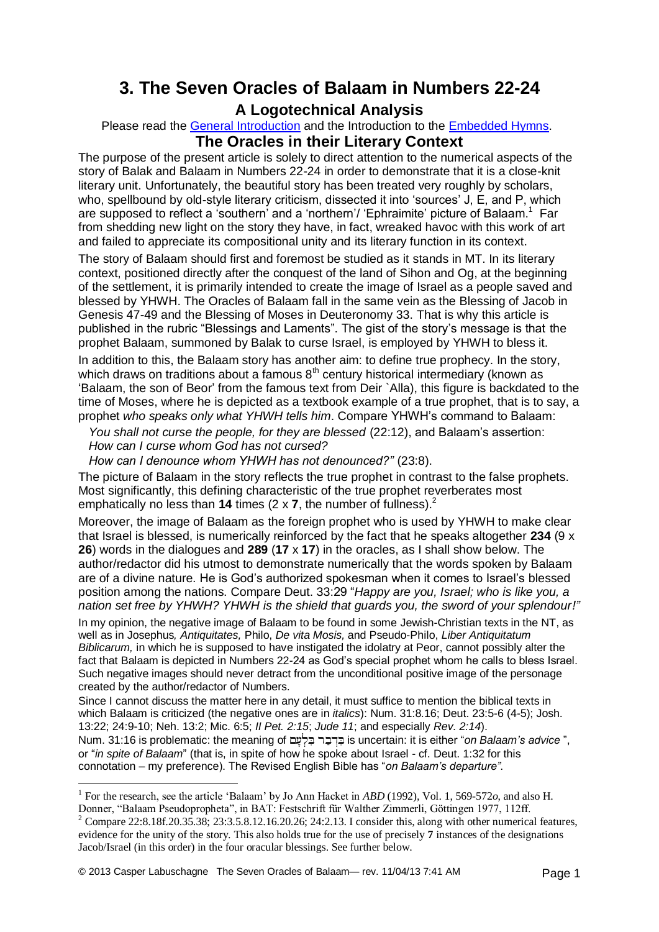# **3. The Seven Oracles of Balaam in Numbers 22-24 A Logotechnical Analysis**

Please read the [General Introduction](http://www.labuschagne.nl/aspects.pdf) and the Introduction to the **Embedded Hymns**. **The Oracles in their Literary Context**

The purpose of the present article is solely to direct attention to the numerical aspects of the story of Balak and Balaam in Numbers 22-24 in order to demonstrate that it is a close-knit literary unit. Unfortunately, the beautiful story has been treated very roughly by scholars, who, spellbound by old-style literary criticism, dissected it into 'sources' J, E, and P, which are supposed to reflect a 'southern' and a 'northern'/ 'Ephraimite' picture of Balaam.<sup>1</sup> Far from shedding new light on the story they have, in fact, wreaked havoc with this work of art and failed to appreciate its compositional unity and its literary function in its context.

The story of Balaam should first and foremost be studied as it stands in MT. In its literary context, positioned directly after the conquest of the land of Sihon and Og, at the beginning of the settlement, it is primarily intended to create the image of Israel as a people saved and blessed by YHWH. The Oracles of Balaam fall in the same vein as the Blessing of Jacob in Genesis 47-49 and the Blessing of Moses in Deuteronomy 33. That is why this article is published in the rubric "Blessings and Laments". The gist of the story's message is that the prophet Balaam, summoned by Balak to curse Israel, is employed by YHWH to bless it.

In addition to this, the Balaam story has another aim: to define true prophecy. In the story, which draws on traditions about a famous  $8<sup>th</sup>$  century historical intermediary (known as 'Balaam, the son of Beor' from the famous text from Deir `Alla), this figure is backdated to the time of Moses, where he is depicted as a textbook example of a true prophet, that is to say, a prophet *who speaks only what YHWH tells him*. Compare YHWH's command to Balaam:

 *You shall not curse the people, for they are blessed* (22:12), and Balaam's assertion: *How can I curse whom God has not cursed?* 

 *How can I denounce whom YHWH has not denounced?"* (23:8).

The picture of Balaam in the story reflects the true prophet in contrast to the false prophets. Most significantly, this defining characteristic of the true prophet reverberates most emphatically no less than **14** times (2 x **7**, the number of fullness).<sup>2</sup>

Moreover, the image of Balaam as the foreign prophet who is used by YHWH to make clear that Israel is blessed, is numerically reinforced by the fact that he speaks altogether **234** (9 x **26**) words in the dialogues and **289** (**17** x **17**) in the oracles, as I shall show below. The author/redactor did his utmost to demonstrate numerically that the words spoken by Balaam are of a divine nature. He is God's authorized spokesman when it comes to Israel's blessed position among the nations. Compare Deut. 33:29 "*Happy are you, Israel; who is like you, a nation set free by YHWH? YHWH is the shield that guards you, the sword of your splendour!"*

In my opinion, the negative image of Balaam to be found in some Jewish-Christian texts in the NT, as well as in Josephus*, Antiquitates,* Philo, *De vita Mosis,* and Pseudo-Philo, *Liber Antiquitatum Biblicarum,* in which he is supposed to have instigated the idolatry at Peor, cannot possibly alter the fact that Balaam is depicted in Numbers 22-24 as God's special prophet whom he calls to bless Israel. Such negative images should never detract from the unconditional positive image of the personage created by the author/redactor of Numbers.

Since I cannot discuss the matter here in any detail, it must suffice to mention the biblical texts in which Balaam is criticized (the negative ones are in *italics*): Num. 31:8.16; Deut. 23:5-6 (4-5); Josh. 13:22; 24:9-10; Neh. 13:2; Mic. 6:5; *II Pet. 2:15*; *Jude 11*; and especially *Rev. 2:14*). Num. 31:16 is problematic: the meaning of is uncertain: it is either "*on Balaam's advice* ", or "*in spite of Balaam*" (that is, in spite of how he spoke about Israel - cf. Deut. 1:32 for this connotation – my preference). The Revised English Bible has "*on Balaam's departure"*.

1

<sup>1</sup> For the research, see the article 'Balaam' by Jo Ann Hacket in *ABD* (1992)*,* Vol. 1, 569-572*o*, and also H. Donner, "Balaam Pseudopropheta", in BAT: Festschrift für Walther Zimmerli, Göttingen 1977, 112ff.

<sup>2</sup> Compare 22:8.18f.20.35.38; 23:3.5.8.12.16.20.26; 24:2.13. I consider this, along with other numerical features, evidence for the unity of the story. This also holds true for the use of precisely **7** instances of the designations Jacob/Israel (in this order) in the four oracular blessings. See further below.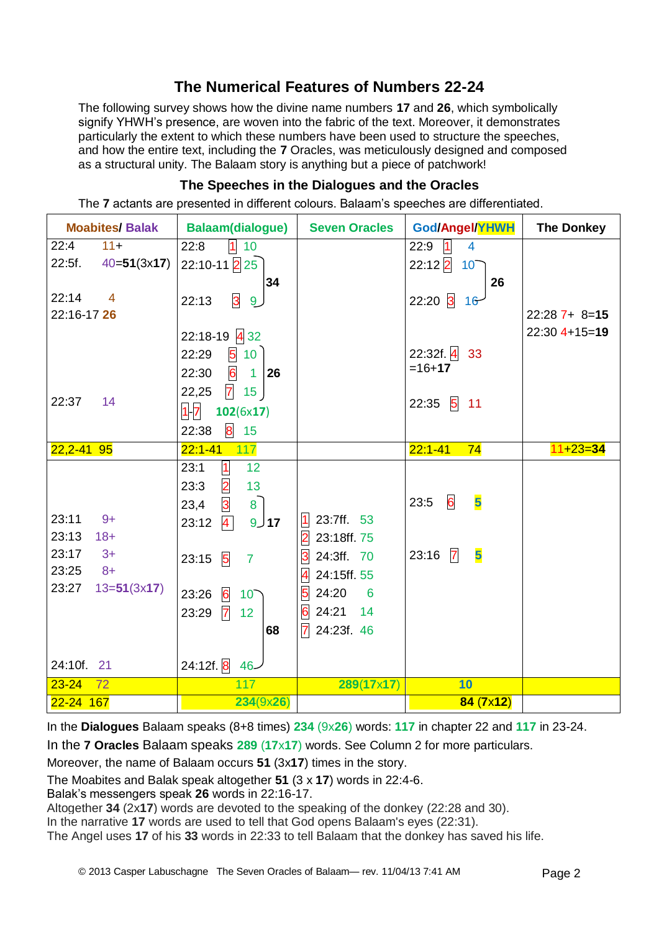# **The Numerical Features of Numbers 22-24**

The following survey shows how the divine name numbers **17** and **26**, which symbolically signify YHWH's presence, are woven into the fabric of the text. Moreover, it demonstrates particularly the extent to which these numbers have been used to structure the speeches, and how the entire text, including the **7** Oracles, was meticulously designed and composed as a structural unity. The Balaam story is anything but a piece of patchwork!

### **The Speeches in the Dialogues and the Oracles**

The **7** actants are presented in different colours. Balaam's speeches are differentiated.

| <b>Moabites/Balak</b>   | <b>Balaam(dialogue)</b>                    | <b>Seven Oracles</b>                   | God/Angel/YHWH                       | <b>The Donkey</b> |
|-------------------------|--------------------------------------------|----------------------------------------|--------------------------------------|-------------------|
| 22:4<br>$11 +$          | 110<br>22:8                                |                                        | $\vert$ 1<br>22:9<br>$\overline{4}$  |                   |
| 22:5f.<br>$40=51(3x17)$ | $22:10-11$ 2 $25$                          |                                        | $22:12$ 2<br>$10^{-}$                |                   |
|                         | 34                                         |                                        | 26                                   |                   |
| 22:14<br>$\overline{4}$ | $\overline{\mathbf{3}}$<br>22:13<br>9      |                                        | $22:20$ 3<br>$16 -$                  |                   |
| 22:16-17 26             |                                            |                                        |                                      | $22:287+8=15$     |
|                         | $22:18-19$ 4 32                            |                                        |                                      | $22:30$ 4+15=19   |
|                         | 510<br>22:29                               |                                        | $22:32f.4$ 33                        |                   |
|                         | $6-1$<br>22:30<br>26                       |                                        | $=16+17$                             |                   |
|                         |                                            |                                        |                                      |                   |
| 22:37<br>14             | $7 \t15$<br>22,25                          |                                        | $22:35$ 5<br>11                      |                   |
|                         | $1 - 7$<br>102(6x17)                       |                                        |                                      |                   |
|                         | 8<br>22:38<br>15                           |                                        |                                      |                   |
| $22,2 - 41$ 95          | $22:1 - 41$<br>117                         |                                        | $22:1 - 41$<br>74                    | $11 + 23 = 34$    |
|                         | 1 <br>12<br>23:1                           |                                        |                                      |                   |
|                         | $\overline{2}$<br>23:3<br>13               |                                        |                                      |                   |
|                         | $\overline{3}$<br>$\overline{8}$<br>23,4   |                                        | 6<br>$\overline{\mathbf{5}}$<br>23:5 |                   |
| 23:11<br>$9+$           | $\overline{4}$<br>23:12<br>$9$ 17          | $1$ 23:7ff. 53                         |                                      |                   |
| 23:13<br>$18 +$         |                                            | 2 23:18ff. 75                          |                                      |                   |
| 23:17<br>$3+$           | 23:15<br>$5\overline{5}$<br>$\overline{7}$ | 24:3ff. 70<br>3                        | 5<br>$23:16$ 7                       |                   |
| 23:25<br>$8+$           |                                            | 24:15ff. 55<br>$\overline{\mathbf{4}}$ |                                      |                   |
| 23:27<br>$13=51(3x17)$  | 23:26<br>6<br>10 <sup>7</sup>              | 24:20<br>5<br>$6\overline{6}$          |                                      |                   |
|                         | $\overline{7}$<br>23:29<br>12              | $6\overline{6}$<br>24:21<br>14         |                                      |                   |
|                         | 68                                         | 24:23f. 46<br>$\overline{7}$           |                                      |                   |
|                         |                                            |                                        |                                      |                   |
| 24:10f. 21              | 24:12f. 8<br>$46-$                         |                                        |                                      |                   |
| $23 - 24$<br>72         | 117                                        | 289(17x17)                             | 10                                   |                   |
| 22-24 167               | 234(9x26)                                  |                                        | $84(7\times12)$                      |                   |

In the **Dialogues** Balaam speaks (8+8 times) **234** (9x**26**) words: **117** in chapter 22 and **117** in 23-24.

In the **7 Oracles** Balaam speaks **289** (**17**x**17**) words. See Column 2 for more particulars.

Moreover, the name of Balaam occurs **51** (3x**17**) times in the story.

The Moabites and Balak speak altogether **51** (3 x **17**) words in 22:4-6.

Balak's messengers speak **26** words in 22:16-17.

Altogether **34** (2x**17**) words are devoted to the speaking of the donkey (22:28 and 30).

In the narrative **17** words are used to tell that God opens Balaam's eyes (22:31).

The Angel uses **17** of his **33** words in 22:33 to tell Balaam that the donkey has saved his life.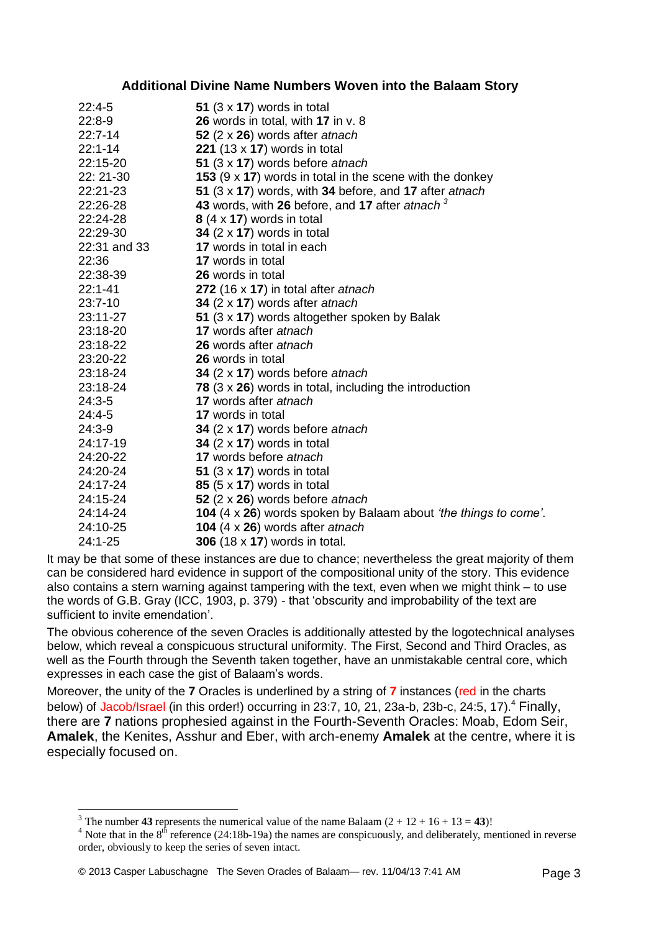#### **Additional Divine Name Numbers Woven into the Balaam Story**

| $22:4-5$     | 51 $(3 \times 17)$ words in total                               |
|--------------|-----------------------------------------------------------------|
| $22:8-9$     | 26 words in total, with 17 in v. 8                              |
| $22:7-14$    | 52 $(2 \times 26)$ words after atnach                           |
| $22:1 - 14$  | 221 $(13 \times 17)$ words in total                             |
| 22:15-20     | 51 (3 x 17) words before atnach                                 |
| 22: 21-30    | 153 $(9 \times 17)$ words in total in the scene with the donkey |
| 22:21-23     | 51 (3 x 17) words, with 34 before, and 17 after atnach          |
| 22:26-28     | 43 words, with 26 before, and 17 after atnach <sup>3</sup>      |
| 22:24-28     | $8(4 \times 17)$ words in total                                 |
| 22:29-30     | 34 $(2 \times 17)$ words in total                               |
| 22:31 and 33 | 17 words in total in each                                       |
| 22:36        | <b>17</b> words in total                                        |
| 22:38-39     | 26 words in total                                               |
| $22:1 - 41$  | 272 (16 x 17) in total after atnach                             |
| 23:7-10      | 34 $(2 \times 17)$ words after atnach                           |
| 23:11-27     | 51 (3 x 17) words altogether spoken by Balak                    |
| 23:18-20     | 17 words after atnach                                           |
| 23:18-22     | 26 words after atnach                                           |
| 23:20-22     | 26 words in total                                               |
| 23:18-24     | 34 $(2 \times 17)$ words before at nach                         |
| 23:18-24     | 78 $(3 \times 26)$ words in total, including the introduction   |
| $24:3-5$     | 17 words after atnach                                           |
| $24:4-5$     | <b>17</b> words in total                                        |
| $24:3-9$     | 34 (2 x 17) words before atnach                                 |
| 24:17-19     | 34 $(2 \times 17)$ words in total                               |
| 24:20-22     | 17 words before atnach                                          |
| 24:20-24     | 51 $(3 \times 17)$ words in total                               |
| 24:17-24     | 85 $(5 \times 17)$ words in total                               |
| 24:15-24     | 52 $(2 \times 26)$ words before atnach                          |
| 24:14-24     | 104 (4 x 26) words spoken by Balaam about 'the things to come'. |
| 24:10-25     | 104 $(4 \times 26)$ words after atnach                          |
| 24:1-25      | <b>306</b> (18 x <b>17</b> ) words in total.                    |

It may be that some of these instances are due to chance; nevertheless the great majority of them can be considered hard evidence in support of the compositional unity of the story. This evidence also contains a stern warning against tampering with the text, even when we might think – to use the words of G.B. Gray (ICC, 1903, p. 379) - that 'obscurity and improbability of the text are sufficient to invite emendation'.

The obvious coherence of the seven Oracles is additionally attested by the logotechnical analyses below, which reveal a conspicuous structural uniformity. The First, Second and Third Oracles, as well as the Fourth through the Seventh taken together, have an unmistakable central core, which expresses in each case the gist of Balaam's words.

Moreover, the unity of the **7** Oracles is underlined by a string of **7** instances (red in the charts below) of Jacob/Israel (in this order!) occurring in 23:7, 10, 21, 23a-b, 23b-c, 24:5, 17).<sup>4</sup> Finally, there are **7** nations prophesied against in the Fourth-Seventh Oracles: Moab, Edom Seir, **Amalek**, the Kenites, Asshur and Eber, with arch-enemy **Amalek** at the centre, where it is especially focused on.

<u>.</u>

<sup>&</sup>lt;sup>3</sup> The number **43** represents the numerical value of the name Balaam  $(2 + 12 + 16 + 13 = 43)!$ 

 $4$  Note that in the  $8^{th}$  reference (24:18b-19a) the names are conspicuously, and deliberately, mentioned in reverse order, obviously to keep the series of seven intact.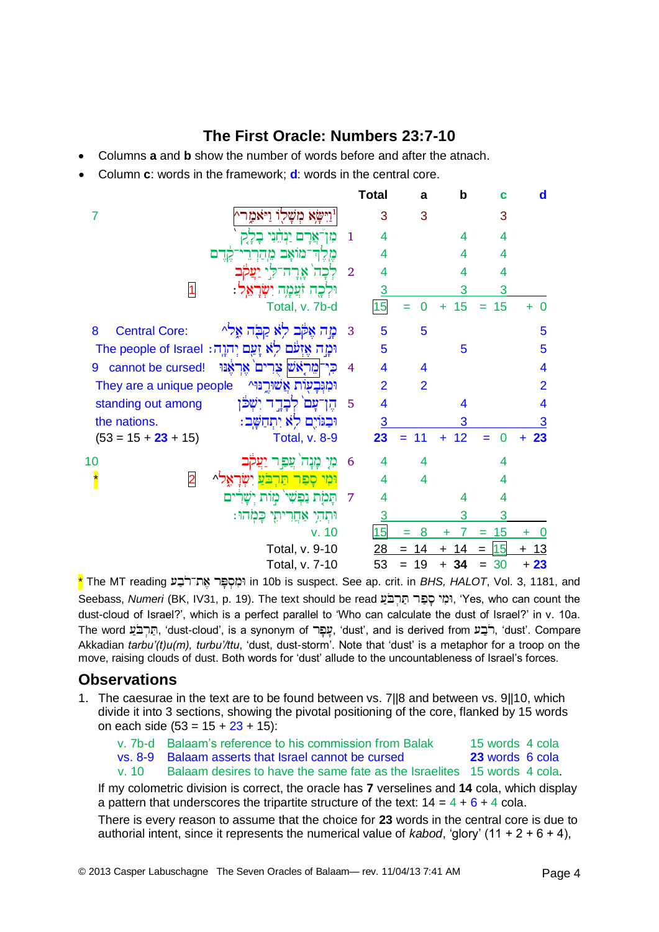## **The First Oracle: Numbers 23:7-10**

- Columns **a** and **b** show the number of words before and after the atnach.
- Column **c**: words in the framework; **d**: words in the central core.

|                                                     |                                                      |                | <b>Total</b>            | a              | b       | c         | d                       |
|-----------------------------------------------------|------------------------------------------------------|----------------|-------------------------|----------------|---------|-----------|-------------------------|
| 7                                                   | שא משלו ויאמו                                        |                | 3                       | 3              |         | 3         |                         |
|                                                     |                                                      | 1              | 4                       |                | 4       | 4         |                         |
|                                                     | מואב<br>קרם<br>מ                                     |                | 4                       |                | 4       | 4         |                         |
|                                                     | אָרָ<br>ה־ק                                          | $\overline{2}$ | 4                       |                | 4       | 4         |                         |
| $\vert$ 1                                           | <u>זעֲכָוָה יִשְוֹ</u><br>יּקְכֶה                    |                | 3                       |                | 3       | 3         |                         |
|                                                     | Total, v. 7b-d                                       |                | 15                      | $\Omega$       | 15<br>÷ | 15<br>$=$ | $\Omega$<br>÷           |
| 8<br><b>Central Core:</b>                           | לָא קַבְּה אֶלִי<br>מה אקב                           | 3              | 5                       | 5              |         |           | 5                       |
|                                                     | וּמָה אֶזְעֹם לְא זָעַם יְהוֶה: The people of Israel |                | 5                       |                | 5       |           | 5                       |
| cannot be cursed!<br>9                              | מֵרָאֹשׁ צָרִים אֶרְאָנּוּ                           | 4              | 4                       | 4              |         |           | 4                       |
| They are a unique people                            | וּמִגִּבְעָוֹת אֲשׁוּרֵנּוּ^                         |                | $\overline{2}$          | $\overline{2}$ |         |           | $\overline{2}$          |
| standing out among                                  | יִשְכּן                                              | 5              | $\overline{\mathbf{4}}$ |                | 4       |           | $\overline{\mathbf{4}}$ |
| the nations.                                        | וּבְגּוֹיֵם לְא יְתְחַשָּׁב:                         |                | $\overline{3}$          |                | 3       |           | 3                       |
| $(53 = 15 + 23 + 15)$                               | <b>Total, v. 8-9</b>                                 |                | 23                      | 11<br>$=$      | 12<br>÷ | O         | 23<br>÷                 |
| 10                                                  | מי<br><b>THE</b><br>צַפּ                             | 6              | 4                       | 4              |         | 4         |                         |
| $\overline{\phantom{a}}$<br>$\overline{\mathbf{2}}$ | <u>קפן</u><br>הרבע<br>^"                             |                | 4                       | 4              |         | 4         |                         |
|                                                     | ים<br>ישר<br>מות<br>נפשי<br>המת                      | 7              | 4                       |                | 4       | 4         |                         |
|                                                     | כָּמְׂהוּ:<br>אַחֲרִיתִי<br>ותהי                     |                | $\overline{3}$          |                | 3       | 3         |                         |
|                                                     | v. 10                                                |                | 15                      | 8<br>Ξ         | 7<br>÷  | 15<br>$=$ | ÷                       |
|                                                     | Total, v. 9-10                                       |                | 28                      | 14<br>Ξ        | 14      | 15<br>$=$ | 13<br>$\pm$             |
|                                                     | Total, v. 7-10                                       |                | 53                      | 19<br>$=$      | 34      | 30        | $+23$                   |

\* The MT reading in 10b is suspect. See ap. crit. in *BHS, HALOT*, Vol. 3, 1181, and Seebass, *Numeri* (BK, IV31, p. 19). The text should be read יְמִי סֻפָּר תַּרְבֹּעַ, 'Yes, who can count the dust-cloud of Israel?', which is a perfect parallel to 'Who can calculate the dust of Israel?' in v. 10a. The word הַרְבֹּעַ, 'dust-cloud', is a synonym of עָפָר, 'dust', and is derived from רֹבָע, 'dust'. Compare Akkadian *tarbu'(t)u(m), turbu'/ttu*, 'dust, dust-storm'. Note that 'dust' is a metaphor for a troop on the move, raising clouds of dust. Both words for 'dust' allude to the uncountableness of Israel's forces.

### **Observations**

1. The caesurae in the text are to be found between vs. 7||8 and between vs. 9||10, which divide it into 3 sections, showing the pivotal positioning of the core, flanked by 15 words on each side  $(53 = 15 + 23 + 15)$ :

|       | v. 7b-d Balaam's reference to his commission from Balak                 | 15 words 4 cola        |
|-------|-------------------------------------------------------------------------|------------------------|
|       | vs. 8-9 Balaam asserts that Israel cannot be cursed                     | <b>23</b> words 6 cola |
| v. 10 | Balaam desires to have the same fate as the Israelites 15 words 4 cola. |                        |

If my colometric division is correct, the oracle has **7** verselines and **14** cola, which display a pattern that underscores the tripartite structure of the text:  $14 = 4 + 6 + 4$  cola.

There is every reason to assume that the choice for **23** words in the central core is due to authorial intent, since it represents the numerical value of *kabod*, 'glory' (11 + 2 + 6 + 4),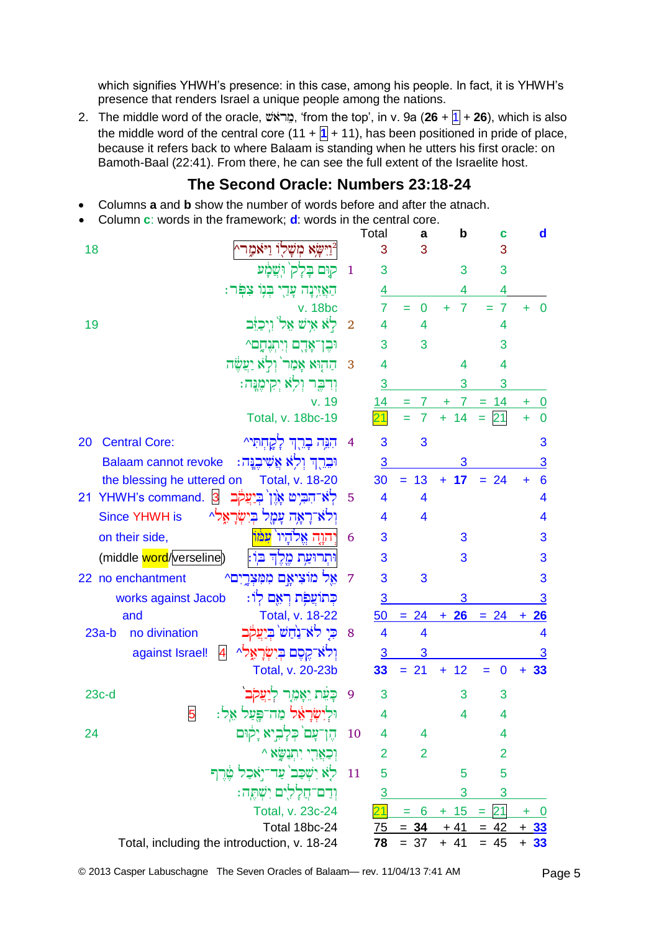which signifies YHWH's presence: in this case, among his people. In fact, it is YHWH's presence that renders Israel a unique people among the nations.

2. The middle word of the oracle, , 'from the top', in v. 9a (**26** + 1 + **26**), which is also the middle word of the central core  $(11 + 1)$ , has been positioned in pride of place, because it refers back to where Balaam is standing when he utters his first oracle: on Bamoth-Baal (22:41). From there, he can see the full extent of the Israelite host.

## **The Second Oracle: Numbers 23:18-24**

- Columns **a** and **b** show the number of words before and after the atnach.
- Column **c**: words in the framework; **d**: words in the central core.

|                 |                                                             |                | Total                   | a                       | b                   | с              |       | $\mathbf d$             |
|-----------------|-------------------------------------------------------------|----------------|-------------------------|-------------------------|---------------------|----------------|-------|-------------------------|
| 18              | יישא משלו ויאמר^                                            |                | 3                       | 3                       |                     | 3              |       |                         |
|                 | קום בָּלָק וִשֲׂמָע                                         | 1              | 3                       |                         | 3                   | 3              |       |                         |
|                 | הַאֲזִינָה עָדֵי בְּנִוּ צִפְּר                             |                | 4                       |                         |                     | 4              |       |                         |
|                 | v. 18bc                                                     |                | 7                       | 0<br>$=$                | 7<br>÷              | 7<br>÷.        | ÷     | 0                       |
| 19              | לָא אִישׁ אֵל`וִיכַּזִּב                                    | $\overline{2}$ | 4                       | 4                       |                     | 4              |       |                         |
|                 | יּבִן־אַרֵם וִיִתְנִחֲם^                                    |                | 3                       | 3                       |                     | 3              |       |                         |
|                 | הַהְוּא אָמַר`וִלְא יַעֲשֶׂה                                | 3              | 4                       |                         | 4                   | 4              |       |                         |
|                 | וְדִבֶּר וְלָא יְקִימֶּנֶּה:                                |                | 3                       |                         | 3                   | 3              |       |                         |
|                 | v. 19                                                       |                | 14                      | $\overline{7}$          | 7 <sup>7</sup><br>÷ | $= 14$         |       | $\bf{0}$                |
|                 | Total, v. 18bc-19                                           |                | 21                      | 7                       | 14<br>÷.            | 21<br>÷        | ٠     | 0                       |
| 20              | הִגֵּה כָרֵךְ לַקֲחִתִּי^<br><b>Central Core:</b>           | 4              | 3                       | 3                       |                     |                |       | 3                       |
|                 | וּבֵרֶךְ וְלָא אֲשִׁיבֶנֶּה:<br><b>Balaam cannot revoke</b> |                | 3                       |                         | 3                   |                |       | 3                       |
|                 | the blessing he uttered on<br>Total, v. 18-20               |                | 30                      | 13<br>$=$               | 17<br>÷.            | $= 24$         | ÷     | $6\phantom{1}6$         |
| 21 <sup>°</sup> | YHWH's command. 3<br>לא־הִבִּיט אַוֵן בִיַעֲקֹב             | 5              | 4                       | 4                       |                     |                |       | 4                       |
|                 | וִּלֹאַ־רָאָה עָמָל בִּיְשָׂרָאָלֹ^<br><b>Since YHWH is</b> |                | 4                       | $\overline{\mathbf{4}}$ |                     |                |       | 4                       |
|                 | יהוה אלהיו <sup>י</sup> עמו<br>on their side,               | 6              | 3                       |                         | 3                   |                |       | 3                       |
|                 | (middle word/verseline)<br>וּתְרוּעַת מֶלֵדְ בּוֹ:          |                | 3                       |                         | 3                   |                |       | 3                       |
|                 | 22 no enchantment<br>מוציאם ממצרים^<br>אל                   | 7              | 3                       | 3                       |                     |                |       | 3                       |
|                 | כְּתוֹעֲכִּת רָאֵם לְוֹ:<br>works against Jacob             |                | 3                       |                         | 3                   |                |       | 3                       |
|                 | Total, v. 18-22<br>and                                      |                | 50                      | $= 24$                  | 26<br>$+$           | $= 24$         | $+$   | 26                      |
| $23a-b$         | כי לא־נחש ביעקב<br>no divination                            | 8              | $\overline{\mathbf{4}}$ | $\overline{\mathbf{4}}$ |                     |                |       | $\overline{\mathbf{4}}$ |
|                 | וְרֹא־קֵםֶם בְּיִשְׂרָאֶל^ 4<br>against Israel!             |                | 3                       | 3                       |                     |                |       | 3                       |
|                 | Total, v. 20-23b                                            |                | 33                      | $= 21$                  | 12<br>٠             | 0<br>$=$       | ٠     | 33                      |
| $23c-d$         | כעת יאמר ליעקב                                              | 9              | 3                       |                         | 3                   | 3              |       |                         |
|                 | וּלִישָׂרָאֵל מַה־פֶּעַל אֵל:<br>5                          |                | 4                       |                         | 4                   | 4              |       |                         |
| 24              | הֶן־עָם כְּלָבְיא יָקוּם                                    | 10             | 4                       | 4                       |                     | 4              |       |                         |
|                 | וְכַאֲרֶי יִתְנַשָּׂא ^                                     |                | $\overline{2}$          | $\overline{2}$          |                     | $\overline{2}$ |       |                         |
|                 | לָא יִשְׁכַּב <sup>י</sup> עַד־יְאַכַל אֶרֶך                | 11             | 5                       |                         | 5                   | 5              |       |                         |
|                 | וְדַם־חֲלָלִים יִשְׁתֵּה:                                   |                | $\overline{3}$          |                         | 3                   | 3              |       |                         |
|                 | Total, v. 23c-24                                            |                | $\overline{21}$         | 6                       | 15<br>$+$           | 21             | ٠     | $\bf{0}$                |
|                 | Total 18bc-24                                               |                | $\overline{75}$         | $= 34$                  | $+41$               | $= 42$         | $+33$ |                         |
|                 | Total, including the introduction, v. 18-24                 |                | 78                      | $= 37$                  | $+ 41$              | $= 45$         | $+33$ |                         |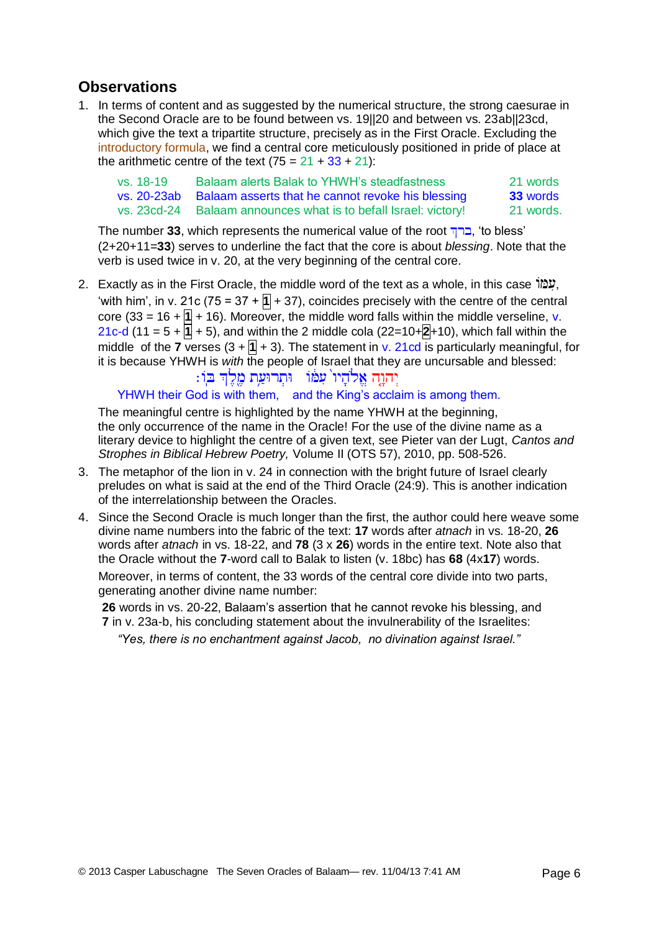# **Observations**

1. In terms of content and as suggested by the numerical structure, the strong caesurae in the Second Oracle are to be found between vs. 19||20 and between vs. 23ab||23cd, which give the text a tripartite structure, precisely as in the First Oracle. Excluding the introductory formula, we find a central core meticulously positioned in pride of place at the arithmetic centre of the text  $(75 = 21 + 33 + 21)$ :

| vs. 18-19   | Balaam alerts Balak to YHWH's steadfastness         | 21 words        |
|-------------|-----------------------------------------------------|-----------------|
| vs. 20-23ab | Balaam asserts that he cannot revoke his blessing   | <b>33</b> words |
| vs. 23cd-24 | Balaam announces what is to befall Israel: victory! | 21 words.       |

The number 33, which represents the numerical value of the root , $\Box$ , 'to bless' (2+20+11=**33**) serves to underline the fact that the core is about *blessing*. Note that the verb is used twice in v. 20, at the very beginning of the central core.

2. Exactly as in the First Oracle, the middle word of the text as a whole, in this case , "מַלוֹ 'with him', in v. 21c (75 = 37 +  $\overline{1}$  + 37), coincides precisely with the centre of the central core (33 = 16 +  $\overline{1}$  + 16). Moreover, the middle word falls within the middle verseline, v.  $21c-d$  (11 = 5 +  $\overline{1}$  + 5), and within the 2 middle cola (22=10+ $\overline{2}$ +10), which fall within the middle of the **7** verses  $(3 + 1) + 3$ . The statement in v. 21cd is particularly meaningful, for it is because YHWH is *with* the people of Israel that they are uncursable and blessed:

#### ַיְהוֶהָ אֱלהָיו עִמּו - וּתְרוּעַת מֶלֶךְ בִּו: YHWH their God is with them, and the King's acclaim is among them.

The meaningful centre is highlighted by the name YHWH at the beginning, the only occurrence of the name in the Oracle! For the use of the divine name as a literary device to highlight the centre of a given text, see Pieter van der Lugt, *Cantos and Strophes in Biblical Hebrew Poetry,* Volume II (OTS 57), 2010, pp. 508-526.

- 3. The metaphor of the lion in v. 24 in connection with the bright future of Israel clearly preludes on what is said at the end of the Third Oracle (24:9). This is another indication of the interrelationship between the Oracles.
- 4. Since the Second Oracle is much longer than the first, the author could here weave some divine name numbers into the fabric of the text: **17** words after *atnach* in vs. 18-20, **26**  words after *atnach* in vs. 18-22, and **78** (3 x **26**) words in the entire text. Note also that the Oracle without the **7**-word call to Balak to listen (v. 18bc) has **68** (4x**17**) words.

Moreover, in terms of content, the 33 words of the central core divide into two parts, generating another divine name number:

**26** words in vs. 20-22, Balaam's assertion that he cannot revoke his blessing, and **7** in v. 23a-b, his concluding statement about the invulnerability of the Israelites:

*"Yes, there is no enchantment against Jacob, no divination against Israel."*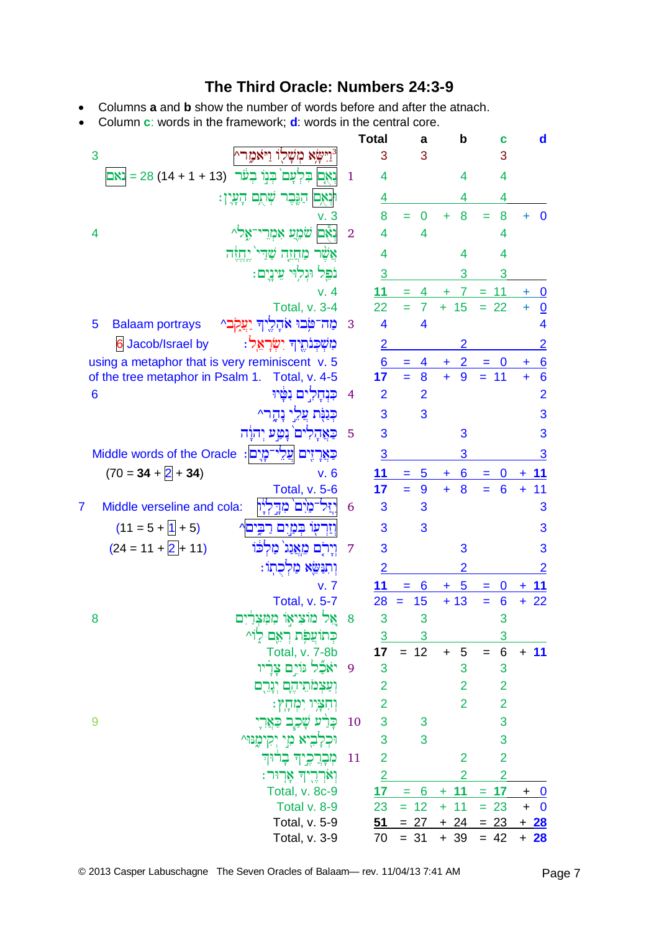## **The Third Oracle: Numbers 24:3-9**

- Columns **a** and **b** show the number of words before and after the atnach.
- Column **c**: words in the framework; **d**: words in the central core.

|                                                                    |                         | <b>Total</b>            | a                              | b                       | С                           | d                                             |
|--------------------------------------------------------------------|-------------------------|-------------------------|--------------------------------|-------------------------|-----------------------------|-----------------------------------------------|
| יישׂא משלו ויאמר^<br>3                                             |                         | 3                       | 3                              |                         | 3                           |                                               |
| וְאֶם בִּלְעָם בְּנַוֹ בְעֹר (13 + 1 + 14) 28 = נאם                | 1                       | 4                       |                                | 4                       | 4                           |                                               |
| ּוּנְאָם הַגֶּבֶר שְׁתֶם הָעָיָן:                                  |                         | 4                       |                                | 4                       | 4                           |                                               |
| v. 3                                                               |                         | 8                       | O                              | 8                       | 8<br>Ξ                      | $\bf{0}$<br>÷                                 |
| נָאָם שֹׁמֵעַ אָמְרֵי־אֶל^<br>4                                    | $\overline{2}$          | 4                       | 4                              |                         | 4                           |                                               |
| אֲשֶׁר מַחֲזֶה שַׁדֵּי יֵחֲזֶה                                     |                         | 4                       |                                | 4                       | 4                           |                                               |
| נֹפֵל וּגִלְוּי עֵינֵיִם:                                          |                         | 3                       |                                | 3                       | 3                           |                                               |
| v.4                                                                |                         | 11                      | 4                              | $\mathbf{7}$<br>÷       | 11<br>$=$                   | $\bf{0}$<br>÷                                 |
| <b>Total, v. 3-4</b>                                               |                         | 22                      | $\overline{7}$                 | $+ 15$                  | $= 22$                      | $\underline{0}$<br>$\ddot{}$                  |
| מַח־טִּבוּ אֹהָלֶיךְ יַעֲקִב^<br>5<br><b>Balaam portrays</b>       | $\overline{\mathbf{3}}$ | $\overline{\mathbf{4}}$ | 4                              |                         |                             | 4                                             |
| מִשְׁכְּנֹתֶיךָ יִשְׂרַאֵל:<br><b>6 Jacob/Israel by</b>            |                         | $\overline{2}$          |                                | 2                       |                             | $\overline{2}$                                |
| using a metaphor that is very reminiscent v. 5                     |                         | 6                       | 4                              | $\overline{2}$<br>$\pm$ | $\boldsymbol{0}$            | 6<br>٠                                        |
| of the tree metaphor in Psalm 1. Total, v. 4-5                     |                         | 17                      | 8<br>$=$                       | 9<br>$\ddot{+}$         | $= 11$                      | $6\phantom{1}6$<br>$\ddotmark$                |
| כנחלים נטֿיוּ<br>6                                                 | $\overline{4}$          | $\overline{2}$          | $\overline{2}$                 |                         |                             | $\overline{2}$                                |
| כִּנַּנִּת עֲלֵי נַחֲר^                                            |                         | 3                       | 3                              |                         |                             | 3                                             |
| כַאֲהַלִים ׁנַטֵּע יְהוַׂה                                         | 5                       | 3                       |                                | 3                       |                             | 3                                             |
| <mark>ּכַאֲרָזֶים  עֲלֵי־מָיָם</mark> : Middle words of the Oracle |                         | 3                       |                                | 3                       |                             | 3                                             |
| $(70 = 34 + 2 + 34)$<br>V.6                                        |                         | 11                      | 5<br>÷.                        | 6<br>÷                  | $\bf{0}$<br>Ξ               | 11<br>+                                       |
| <b>Total, v. 5-6</b>                                               |                         | 17                      | $=$<br>9                       | 8<br>$\ddot{}$          | $6\phantom{1}6$<br>$\equiv$ | 11<br>$\ddot{}$                               |
| Middle verseline and cola:<br>זַּל־מַיִּם מִדֵּלְיַו<br>7          | 6                       | 3                       | 3                              |                         |                             | 3                                             |
| $(11 = 5 + 1 + 5)$<br>וַזַרְעָוֹ בִּמַּיִם רַבֵּים                 |                         | 3                       | 3                              |                         |                             | 3                                             |
| $(24 = 11 + 2 + 11)$<br>וירם מאגג מלכו                             | 7                       | 3                       |                                | 3                       |                             | 3                                             |
| וְתִנַּשֵׂא מַלְכָתְוֹ:                                            |                         | $\overline{2}$          |                                | $\overline{2}$          |                             | $\overline{2}$                                |
| v. 7                                                               |                         | 11                      | 6<br>= 1                       | 5<br>$+$                | $\mathbf{0}$<br>$=$         | 11<br>÷                                       |
| <b>Total, v. 5-7</b>                                               |                         | 28                      | 15                             | $+13$                   | 6<br>$=$                    | 22<br>÷                                       |
| אֵל מוֹצִיאִוֹ מִמְצִרַיִם<br>8                                    | 8                       | 3                       | 3                              |                         | 3                           |                                               |
| כְּתוֹצֲפִׂת רְאֵם לִוֹּ^                                          |                         | $\overline{3}$          | 3                              |                         | 3                           |                                               |
| <b>Total, v. 7-8b</b>                                              |                         | 17                      | $= 12$                         | $\sqrt{5}$<br>$+$       | $\,6$<br>$=$                | $+ 11$                                        |
| יֹאֲבֵל גּוֹיָם צָרָיו                                             | -9                      | 3                       |                                | 3                       | 3                           |                                               |
| וְעַצְמֹתֵיהֶם יְנְרֵם                                             |                         | 2                       |                                | 2                       | $\overline{2}$              |                                               |
| וִחִצְּיו יִמְחָץ:                                                 |                         | 2                       |                                | $\overline{2}$          | $\overline{2}$              |                                               |
| כָּרַٰע שָׁכַלֶב כַּאֲרָיִ<br>9                                    | 10                      | 3                       | 3                              |                         | 3                           |                                               |
| יָא מְי יְקִימֶנּוּ^                                               |                         | 3                       | 3                              |                         | 3                           |                                               |
| מְבָרֲכֶיךָ בְרוּךְ                                                | 11                      | $\overline{2}$          |                                | $\overline{2}$          | $\overline{2}$              |                                               |
| וְאֹרְרֶיךְ אָרוּר:                                                |                         | $\overline{2}$          |                                | $\overline{2}$          | $\overline{2}$              |                                               |
| Total, v. 8c-9                                                     |                         | 17                      | 6<br>$\mathbf{r} = \mathbf{r}$ | $+ 11$                  | $= 17$                      | $+$<br>$\overline{\mathbf{0}}$                |
| Total v. 8-9<br>Total, v. 5-9                                      |                         | 23<br>51                | $= 12$<br>$= 27$               | 11<br>$+$<br>$+ 24$     | $= 23$<br>$= 23$            | $\overline{\mathbf{0}}$<br>$\ddot{}$<br>$+28$ |
| Total, v. 3-9                                                      |                         | 70                      | $= 31$                         | $+39$                   | $= 42$                      | $+ 28$                                        |
|                                                                    |                         |                         |                                |                         |                             |                                               |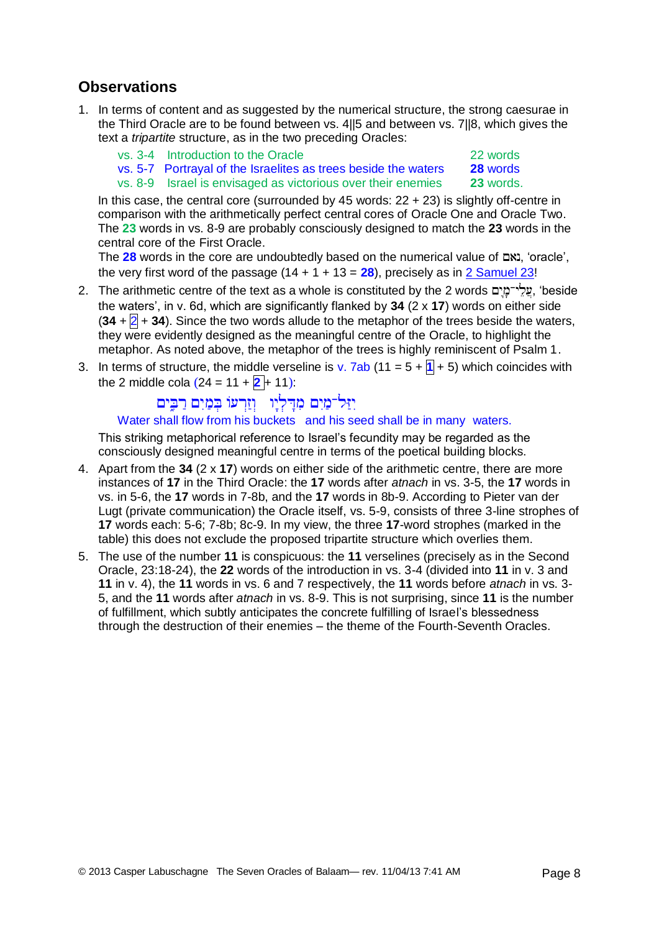# **Observations**

- 1. In terms of content and as suggested by the numerical structure, the strong caesurae in the Third Oracle are to be found between vs. 4||5 and between vs. 7||8, which gives the text a *tripartite* structure, as in the two preceding Oracles:
	- vs. 3-4 Introduction to the Oracle 22 words
	- vs. 5-7 Portrayal of the Israelites as trees beside the waters **28** words
	- vs. 8-9 Israel is envisaged as victorious over their enemies **23** words.

In this case, the central core (surrounded by 45 words: 22 + 23) is slightly off-centre in comparison with the arithmetically perfect central cores of Oracle One and Oracle Two. The **23** words in vs. 8-9 are probably consciously designed to match the **23** words in the central core of the First Oracle.

The 28 words in the core are undoubtedly based on the numerical value of  $\Xi$ ואב, 'oracle', the very first word of the passage  $(14 + 1 + 13 = 28)$ , precisely as in [2 Samuel 23!](http://www.labuschagne.nl/5.2sam23.pdf)

- 2. The arithmetic centre of the text as a whole is constituted by the 2 words , 'beside the waters', in v. 6d, which are significantly flanked by **34** (2 x **17**) words on either side  $(34 + 2 + 34)$ . Since the two words allude to the metaphor of the trees beside the waters, they were evidently designed as the meaningful centre of the Oracle, to highlight the metaphor. As noted above, the metaphor of the trees is highly reminiscent of Psalm 1.
- 3. In terms of structure, the middle verseline is v. 7ab (11 =  $5 + 1 + 5$ ) which coincides with the 2 middle cola  $(24 = 11 + 2 + 11)$ :

# וַיַּל־מַּיִם מִדָּלְיָו וְזַרְעוּ בְּמַיִם רַבְּים

#### Water shall flow from his buckets and his seed shall be in many waters.

This striking metaphorical reference to Israel's fecundity may be regarded as the consciously designed meaningful centre in terms of the poetical building blocks.

- 4. Apart from the **34** (2 x **17**) words on either side of the arithmetic centre, there are more instances of **17** in the Third Oracle: the **17** words after *atnach* in vs. 3-5, the **17** words in vs. in 5-6, the **17** words in 7-8b, and the **17** words in 8b-9. According to Pieter van der Lugt (private communication) the Oracle itself, vs. 5-9, consists of three 3-line strophes of **17** words each: 5-6; 7-8b; 8c-9. In my view, the three **17**-word strophes (marked in the table) this does not exclude the proposed tripartite structure which overlies them.
- 5. The use of the number **11** is conspicuous: the **11** verselines (precisely as in the Second Oracle, 23:18-24), the **22** words of the introduction in vs. 3-4 (divided into **11** in v. 3 and **11** in v. 4), the **11** words in vs. 6 and 7 respectively, the **11** words before *atnach* in vs. 3- 5, and the **11** words after *atnach* in vs. 8-9. This is not surprising, since **11** is the number of fulfillment, which subtly anticipates the concrete fulfilling of Israel's blessedness through the destruction of their enemies – the theme of the Fourth-Seventh Oracles.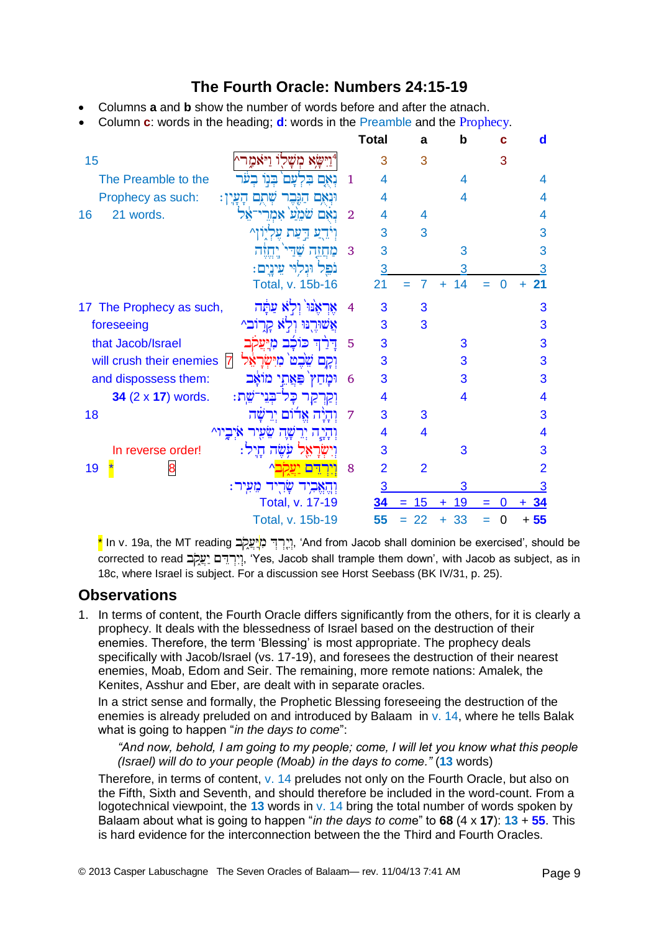## **The Fourth Oracle: Numbers 24:15-19**

- Columns **a** and **b** show the number of words before and after the atnach.
- Column **c**: words in the heading; **d**: words in the Preamble and the Prophecy.

|                                                          |                | <b>Total</b>   | a              | b               | с        | d                       |
|----------------------------------------------------------|----------------|----------------|----------------|-----------------|----------|-------------------------|
| 15<br>מ                                                  |                | 3              | 3              |                 | 3        |                         |
| The Preamble to the<br>⊡                                 | 1              | 4              |                | 4               |          | 4                       |
| Prophecy as such:<br>ּהָעֲיִן׃<br>or                     |                | 4              |                | 4               |          | 4                       |
| 21 words.<br>יאל<br>16<br>□                              | $\overline{2}$ | 4              | 4              |                 |          | 4                       |
| л,<br>עת                                                 |                | 3              | 3              |                 |          | 3                       |
|                                                          | 3              | 3              |                | 3               |          | 3                       |
| ּעֵינָיִם:<br>נפל                                        |                | 3              |                | 3               |          | 3                       |
| Total, v. 15b-16                                         |                | 21             | 7<br>$=$       | 14<br>÷         | $\Omega$ | 21<br>÷                 |
| The Prophecy as such,<br>צַתַּה<br>17                    | 4              | 3              | 3              |                 |          | 3                       |
| foreseeing<br>קֲרָוֹבִי<br>אשורנו ולא                    |                | 3              | 3              |                 |          | 3                       |
| that Jacob/Israel<br>כוכב<br>מי                          | 5              | 3              |                | 3               |          | 3                       |
| will crush their enemies<br>$\overline{7}$<br>בזי<br>שבט |                | 3              |                | 3               |          | 3                       |
| and dispossess them:<br>מואב<br>פּאַתי<br>ומחץ           | 6              | 3              |                | 3               |          | 3                       |
| 34 (2 x 17) words.<br>־שֵת:<br>בני<br>73                 |                | 4              |                | 4               |          | $\overline{\mathbf{4}}$ |
| 18<br>ירשה<br>אדום                                       | 7              | 3              | 3              |                 |          | 3                       |
|                                                          |                | 4              | 4              |                 |          | $\overline{\mathbf{4}}$ |
| ּחֲיָל:<br>In reverse order!<br>עשה                      |                | 3              |                | 3               |          | 3                       |
| 8<br>19                                                  | 8              | $\overline{2}$ | $\overline{2}$ |                 |          | $\overline{2}$          |
| מֵעִיר:                                                  |                | 3              |                | 3               |          | 3                       |
| Total, v. 17-19                                          |                | 34             | 15<br>$=$      | 19<br>$\ddot{}$ | 0<br>=   | 34                      |
| Total, v. 15b-19                                         |                | 55             | 22<br>$=$      | 33<br>÷         | 0<br>$=$ | $+55$                   |

\* In v. 19a, the MT reading יְיֵרְדָּ מְיָעֲקָׂב, 'And from Jacob shall dominion be exercised', should be corrected to read יְיִרְדֵּם יַעֲקָב, 'Yes, Jacob shall trample them down', with Jacob as subject, as in 18c, where Israel is subject. For a discussion see Horst Seebass (BK IV/31, p. 25).

## **Observations**

1. In terms of content, the Fourth Oracle differs significantly from the others, for it is clearly a prophecy. It deals with the blessedness of Israel based on the destruction of their enemies. Therefore, the term 'Blessing' is most appropriate. The prophecy deals specifically with Jacob/Israel (vs. 17-19), and foresees the destruction of their nearest enemies, Moab, Edom and Seir. The remaining, more remote nations: Amalek, the Kenites, Asshur and Eber, are dealt with in separate oracles.

In a strict sense and formally, the Prophetic Blessing foreseeing the destruction of the enemies is already preluded on and introduced by Balaam in  $v$ . 14, where he tells Balak what is going to happen "*in the days to come*":

*"And now, behold, I am going to my people; come, I will let you know what this people (Israel) will do to your people (Moab) in the days to come."* (**13** words)

Therefore, in terms of content, v. 14 preludes not only on the Fourth Oracle, but also on the Fifth, Sixth and Seventh, and should therefore be included in the word-count. From a logotechnical viewpoint, the **13** words in v. 14 bring the total number of words spoken by Balaam about what is going to happen "*in the days to com*e" to **68** (4 x **17**): **13** + **55**. This is hard evidence for the interconnection between the the Third and Fourth Oracles.